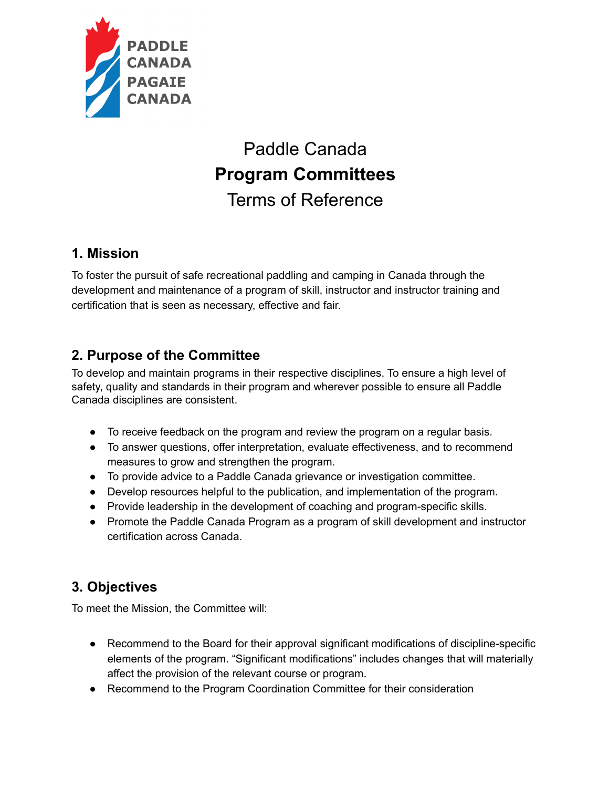

# Paddle Canada **Program Committees** Terms of Reference

#### **1. Mission**

To foster the pursuit of safe recreational paddling and camping in Canada through the development and maintenance of a program of skill, instructor and instructor training and certification that is seen as necessary, effective and fair.

# **2. Purpose of the Committee**

To develop and maintain programs in their respective disciplines. To ensure a high level of safety, quality and standards in their program and wherever possible to ensure all Paddle Canada disciplines are consistent.

- To receive feedback on the program and review the program on a regular basis.
- To answer questions, offer interpretation, evaluate effectiveness, and to recommend measures to grow and strengthen the program.
- To provide advice to a Paddle Canada grievance or investigation committee.
- Develop resources helpful to the publication, and implementation of the program.
- Provide leadership in the development of coaching and program-specific skills.
- Promote the Paddle Canada Program as a program of skill development and instructor certification across Canada.

## **3. Objectives**

To meet the Mission, the Committee will:

- Recommend to the Board for their approval significant modifications of discipline-specific elements of the program. "Significant modifications" includes changes that will materially affect the provision of the relevant course or program.
- Recommend to the Program Coordination Committee for their consideration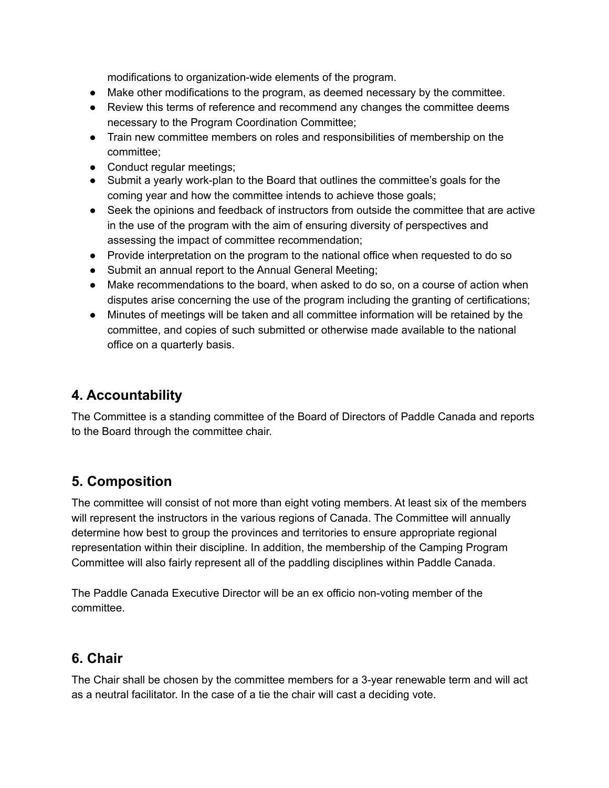modifications to organization-wide elements of the program.

- Make other modifications to the program, as deemed necessary by the committee.
- Review this terms of reference and recommend any changes the committee deems necessary to the Program Coordination Committee;
- Train new committee members on roles and responsibilities of membership on the committee;
- Conduct regular meetings;
- Submit a yearly work-plan to the Board that outlines the committee's goals for the coming year and how the committee intends to achieve those goals;
- Seek the opinions and feedback of instructors from outside the committee that are active in the use of the program with the aim of ensuring diversity of perspectives and assessing the impact of committee recommendation;
- Provide interpretation on the program to the national office when requested to do so
- Submit an annual report to the Annual General Meeting;
- Make recommendations to the board, when asked to do so, on a course of action when disputes arise concerning the use of the program including the granting of certifications;
- Minutes of meetings will be taken and all committee information will be retained by the committee, and copies of such submitted or otherwise made available to the national office on a quarterly basis.

## **4. Accountability**

The Committee is a standing committee of the Board of Directors of Paddle Canada and reports to the Board through the committee chair.

## **5. Composition**

The committee will consist of not more than eight voting members. At least six of the members will represent the instructors in the various regions of Canada. The Committee will annually determine how best to group the provinces and territories to ensure appropriate regional representation within their discipline. In addition, the membership of the Camping Program Committee will also fairly represent all of the paddling disciplines within Paddle Canada.

The Paddle Canada Executive Director will be an ex officio non-voting member of the committee.

#### **6. Chair**

The Chair shall be chosen by the committee members for a 3-year renewable term and will act as a neutral facilitator. In the case of a tie the chair will cast a deciding vote.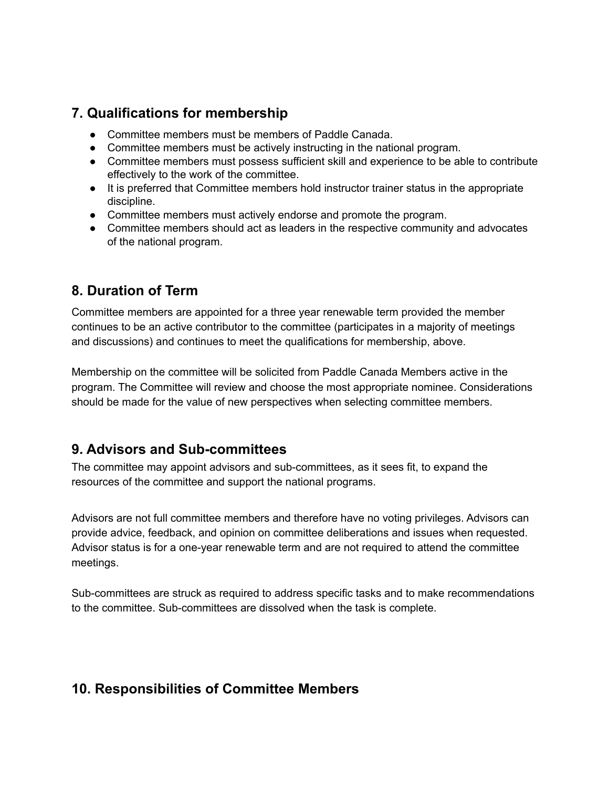#### **7. Qualifications for membership**

- Committee members must be members of Paddle Canada.
- Committee members must be actively instructing in the national program.
- Committee members must possess sufficient skill and experience to be able to contribute effectively to the work of the committee.
- It is preferred that Committee members hold instructor trainer status in the appropriate discipline.
- Committee members must actively endorse and promote the program.
- Committee members should act as leaders in the respective community and advocates of the national program.

#### **8. Duration of Term**

Committee members are appointed for a three year renewable term provided the member continues to be an active contributor to the committee (participates in a majority of meetings and discussions) and continues to meet the qualifications for membership, above.

Membership on the committee will be solicited from Paddle Canada Members active in the program. The Committee will review and choose the most appropriate nominee. Considerations should be made for the value of new perspectives when selecting committee members.

#### **9. Advisors and Sub-committees**

The committee may appoint advisors and sub-committees, as it sees fit, to expand the resources of the committee and support the national programs.

Advisors are not full committee members and therefore have no voting privileges. Advisors can provide advice, feedback, and opinion on committee deliberations and issues when requested. Advisor status is for a one-year renewable term and are not required to attend the committee meetings.

Sub-committees are struck as required to address specific tasks and to make recommendations to the committee. Sub-committees are dissolved when the task is complete.

## **10. Responsibilities of Committee Members**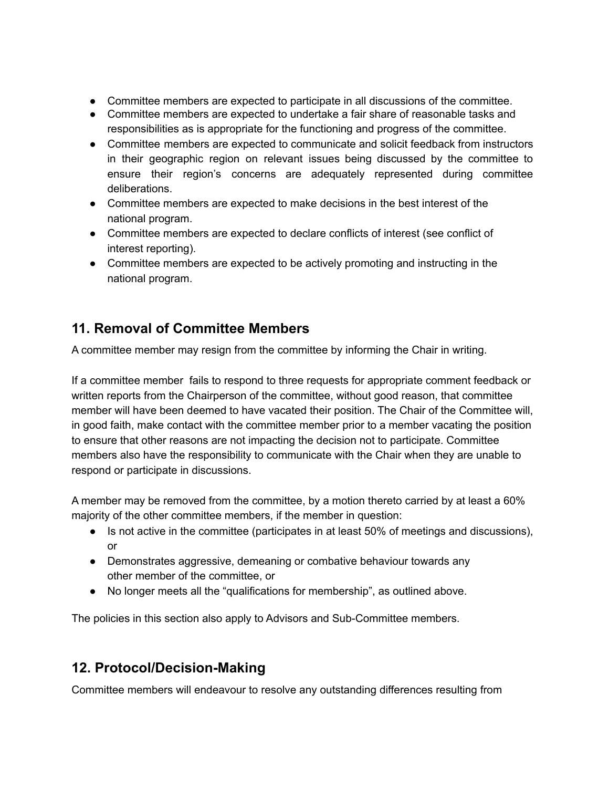- Committee members are expected to participate in all discussions of the committee.
- Committee members are expected to undertake a fair share of reasonable tasks and responsibilities as is appropriate for the functioning and progress of the committee.
- Committee members are expected to communicate and solicit feedback from instructors in their geographic region on relevant issues being discussed by the committee to ensure their region's concerns are adequately represented during committee deliberations.
- Committee members are expected to make decisions in the best interest of the national program.
- Committee members are expected to declare conflicts of interest (see conflict of interest reporting).
- Committee members are expected to be actively promoting and instructing in the national program.

# **11. Removal of Committee Members**

A committee member may resign from the committee by informing the Chair in writing.

If a committee member fails to respond to three requests for appropriate comment feedback or written reports from the Chairperson of the committee, without good reason, that committee member will have been deemed to have vacated their position. The Chair of the Committee will, in good faith, make contact with the committee member prior to a member vacating the position to ensure that other reasons are not impacting the decision not to participate. Committee members also have the responsibility to communicate with the Chair when they are unable to respond or participate in discussions.

A member may be removed from the committee, by a motion thereto carried by at least a 60% majority of the other committee members, if the member in question:

- Is not active in the committee (participates in at least 50% of meetings and discussions), or
- Demonstrates aggressive, demeaning or combative behaviour towards any other member of the committee, or
- No longer meets all the "qualifications for membership", as outlined above.

The policies in this section also apply to Advisors and Sub-Committee members.

## **12. Protocol/Decision-Making**

Committee members will endeavour to resolve any outstanding differences resulting from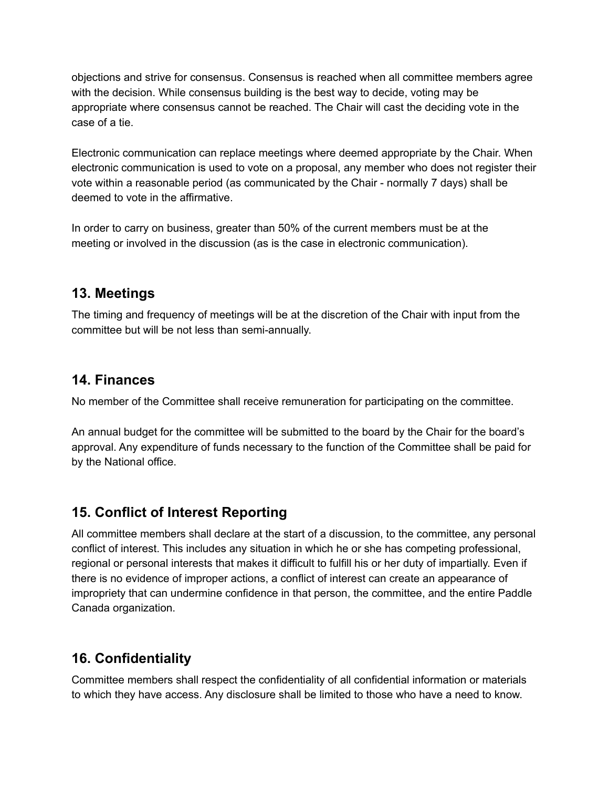objections and strive for consensus. Consensus is reached when all committee members agree with the decision. While consensus building is the best way to decide, voting may be appropriate where consensus cannot be reached. The Chair will cast the deciding vote in the case of a tie.

Electronic communication can replace meetings where deemed appropriate by the Chair. When electronic communication is used to vote on a proposal, any member who does not register their vote within a reasonable period (as communicated by the Chair - normally 7 days) shall be deemed to vote in the affirmative.

In order to carry on business, greater than 50% of the current members must be at the meeting or involved in the discussion (as is the case in electronic communication).

## **13. Meetings**

The timing and frequency of meetings will be at the discretion of the Chair with input from the committee but will be not less than semi-annually.

#### **14. Finances**

No member of the Committee shall receive remuneration for participating on the committee.

An annual budget for the committee will be submitted to the board by the Chair for the board's approval. Any expenditure of funds necessary to the function of the Committee shall be paid for by the National office.

# **15. Conflict of Interest Reporting**

All committee members shall declare at the start of a discussion, to the committee, any personal conflict of interest. This includes any situation in which he or she has competing professional, regional or personal interests that makes it difficult to fulfill his or her duty of impartially. Even if there is no evidence of improper actions, a conflict of interest can create an appearance of impropriety that can undermine confidence in that person, the committee, and the entire Paddle Canada organization.

# **16. Confidentiality**

Committee members shall respect the confidentiality of all confidential information or materials to which they have access. Any disclosure shall be limited to those who have a need to know.